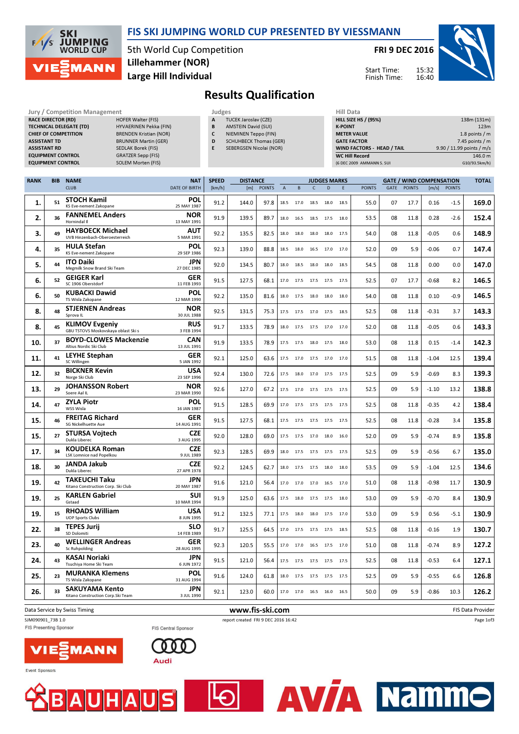

## FIS SKI JUMPING WORLD CUP PRESENTED BY VIESSMANN

5th World Cup Competition Large Hill Individual Lillehammer (NOR)

FRI 9 DEC 2016

Start Time: Finish Time:



Page 1of3

**AV/A Namme** 

## Results Qualification

| Jury / Competition Management  |                               | Judges |   |                               |  |               |  |
|--------------------------------|-------------------------------|--------|---|-------------------------------|--|---------------|--|
| <b>RACE DIRECTOR (RD)</b>      | <b>HOFER Walter (FIS)</b>     |        | A | <b>TUCEK Jaroslav (CZE)</b>   |  | <b>HILL S</b> |  |
| <b>TECHNICAL DELEGATE (TD)</b> | HYVAERINEN Pekka (FIN)        |        | в | <b>AMSTEIN David (SUI)</b>    |  | K-POII        |  |
| <b>CHIEF OF COMPETITION</b>    | <b>BRENDEN Kristian (NOR)</b> |        |   | NIEMINEN Teppo (FIN)          |  | <b>METEI</b>  |  |
| <b>ASSISTANT TD</b>            | <b>BRUNNER Martin (GER)</b>   |        | D | <b>SCHUHBECK Thomas (GER)</b> |  | <b>GATE</b>   |  |
| <b>ASSISTANT RD</b>            | <b>SEDLAK Borek (FIS)</b>     |        |   | SEBERGSEN Nicolai (NOR)       |  | <b>WIND</b>   |  |
| <b>EQUIPMENT CONTROL</b>       | <b>GRATZER Sepp (FIS)</b>     |        |   |                               |  | WC Hi         |  |
| <b>EQUIPMENT CONTROL</b>       | <b>SOLEM Morten (FIS)</b>     |        |   |                               |  | (6 DEC)       |  |

| Δ | <b>TUCEK Jaroslav (CZE)</b> |
|---|-----------------------------|
| B | <b>AMSTEIN David (SUI)</b>  |
| C | NIEMINEN Teppo (FII         |
| D | <b>SCHUHBECK Thomas</b>     |
|   | CEDEDCCENLNIAALA: //        |

- ppo (FIN) Thomas (GER)
- Nicolai (NOR)
	-

| HIII Data                         |                           |
|-----------------------------------|---------------------------|
| <b>HILL SIZE HS / (95%)</b>       | 138m (131m)               |
| <b>K-POINT</b>                    | 123m                      |
| <b>METER VALUE</b>                | 1.8 points $/m$           |
| <b>GATE FACTOR</b>                | 7.45 points $/m$          |
| <b>WIND FACTORS - HEAD / TAIL</b> | 9.90 / 11.99 points / m/s |
| <b>WC Hill Record</b>             | 146.0 m                   |
| (6 DEC 2009 AMMANN S. SUI         | G10/93.5km/h)             |

| <b>RANK</b> | <b>BIB</b> | <b>NAME</b>                                                  | <b>NAT</b>                | <b>SPEED</b> | <b>DISTANCE</b> |               |                |           |              | <b>JUDGES MARKS</b> |      | <b>GATE / WIND COMPENSATION</b> |             |               |                       |               |                   |
|-------------|------------|--------------------------------------------------------------|---------------------------|--------------|-----------------|---------------|----------------|-----------|--------------|---------------------|------|---------------------------------|-------------|---------------|-----------------------|---------------|-------------------|
|             |            | <b>CLUB</b>                                                  | <b>DATE OF BIRTH</b>      | [km/h]       | [m]             | <b>POINTS</b> | $\overline{A}$ | B         | $\mathsf{C}$ | D                   | E    | <b>POINTS</b>                   | <b>GATE</b> | <b>POINTS</b> | $\lfloor m/s \rfloor$ | <b>POINTS</b> |                   |
| 1.          | 51         | <b>STOCH Kamil</b><br>KS Eve-nement Zakopane                 | POL<br>25 MAY 1987        | 91.2         | 144.0           | 97.8          | 18.5           | 17.0      | 18.5         | 18.0                | 18.5 | 55.0                            | 07          | 17.7          | 0.16                  | $-1.5$        | 169.0             |
| 2.          | 36         | <b>FANNEMEL Anders</b><br>Hornindal II                       | <b>NOR</b><br>13 MAY 1991 | 91.9         | 139.5           | 89.7          | 18.0           | 16.5      | 18.5         | 17.5                | 18.0 | 53.5                            | 08          | 11.8          | 0.28                  | $-2.6$        | 152.4             |
| 3.          | 49         | <b>HAYBOECK Michael</b><br>UVB Hinzenbach-Oberoesterreich    | AUT<br>5 MAR 1991         | 92.2         | 135.5           | 82.5          | 18.0           | 18.0      | 18.0         | 18.0                | 17.5 | 54.0                            | 08          | 11.8          | $-0.05$               | 0.6           | 148.9             |
| 4.          | 35         | <b>HULA Stefan</b><br>KS Eve-nement Zakopane                 | <b>POL</b><br>29 SEP 1986 | 92.3         | 139.0           | 88.8          | 18.5           | 18.0      | 16.5         | 17.0                | 17.0 | 52.0                            | 09          | 5.9           | $-0.06$               | 0.7           | 147.4             |
| 5.          | 44         | <b>ITO Daiki</b><br>Megmilk Snow Brand Ski Team              | <b>JPN</b><br>27 DEC 1985 | 92.0         | 134.5           | 80.7          | 18.0           | 18.5      |              | 18.0 18.0           | 18.5 | 54.5                            | 08          | 11.8          | 0.00                  | 0.0           | 147.0             |
| 6.          | 52         | <b>GEIGER Karl</b><br>SC 1906 Oberstdorf                     | <b>GER</b><br>11 FEB 1993 | 91.5         | 127.5           | 68.1          | 17.0           | 17.5      | 17.5         | 17.5 17.5           |      | 52.5                            | 07          | 17.7          | $-0.68$               | 8.2           | 146.5             |
| 6.          | 50         | <b>KUBACKI Dawid</b><br>TS Wisla Zakopane                    | POL<br>12 MAR 1990        | 92.2         | 135.0           | 81.6          | 18.0           | 17.5      | 18.0         | 18.0                | 18.0 | 54.0                            | 08          | 11.8          | 0.10                  | $-0.9$        | 146.5             |
| 8.          | 48         | <b>STJERNEN Andreas</b><br>Sprova IL                         | <b>NOR</b><br>30 JUL 1988 | 92.5         | 131.5           | 75.3          | 17.5           | 17.5      |              | 17.0 17.5 18.5      |      | 52.5                            | 08          | 11.8          | $-0.31$               | 3.7           | 143.3             |
| 8.          | 45         | <b>KLIMOV Evgeniy</b><br>GBU TSTOVS Moskovskaya oblast Ski s | <b>RUS</b><br>3 FEB 1994  | 91.7         | 133.5           | 78.9          | 18.0           | 17.5      | 17.5         | 17.0                | 17.0 | 52.0                            | 08          | 11.8          | $-0.05$               | 0.6           | 143.3             |
| 10.         | 37         | <b>BOYD-CLOWES Mackenzie</b><br>Altius Nordic Ski Club       | <b>CAN</b><br>13 JUL 1991 | 91.9         | 133.5           | 78.9          | 17.5           | 17.5      | 18.0         | 17.5                | 18.0 | 53.0                            | 08          | 11.8          | 0.15                  | $-1.4$        | 142.3             |
| 11.         | 41         | <b>LEYHE Stephan</b><br>SC Willingen                         | <b>GER</b><br>5 JAN 1992  | 92.1         | 125.0           | 63.6          | 17.5           | 17.0      |              | 17.5 17.0 17.0      |      | 51.5                            | 08          | 11.8          | $-1.04$               | 12.5          | 139.4             |
| 12.         | 32         | <b>BICKNER Kevin</b><br>Norge Ski Club                       | <b>USA</b><br>23 SEP 1996 | 92.4         | 130.0           | 72.6          | 17.5           | 18.0      | 17.0         | 17.5                | 17.5 | 52.5                            | 09          | 5.9           | $-0.69$               | 8.3           | 139.3             |
| 13.         | 29         | <b>JOHANSSON Robert</b><br>Soere Aal IL                      | <b>NOR</b><br>23 MAR 1990 | 92.6         | 127.0           | 67.2          | 17.5           | 17.0      |              | 17.5 17.5           | 17.5 | 52.5                            | 09          | 5.9           | $-1.10$               | 13.2          | 138.8             |
| 14.         | 47         | <b>ZYLA Piotr</b><br>WSS Wisla                               | <b>POL</b><br>16 JAN 1987 | 91.5         | 128.5           | 69.9          | 17.0           | 17.5      |              | 17.5 17.5 17.5      |      | 52.5                            | 08          | 11.8          | $-0.35$               | 4.2           | 138.4             |
| 15.         | 46         | <b>FREITAG Richard</b><br><b>SG Nickelhuette Aue</b>         | <b>GER</b><br>14 AUG 1991 | 91.5         | 127.5           | 68.1          | 17.5           | 17.5      | 17.5 17.5    |                     | 17.5 | 52.5                            | 08          | 11.8          | $-0.28$               | 3.4           | 135.8             |
| 15.         | 27         | <b>STURSA Voitech</b><br>Dukla Liberec                       | <b>CZE</b><br>3 AUG 1995  | 92.0         | 128.0           | 69.0          | 17.5           | 17.5      | 17.0         | 18.0                | 16.0 | 52.0                            | 09          | 5.9           | $-0.74$               | 8.9           | 135.8             |
| 17.         | 34         | <b>KOUDELKA Roman</b><br><b>LSK Lomnice nad Popelkou</b>     | <b>CZE</b><br>9 JUL 1989  | 92.3         | 128.5           | 69.9          | 18.0           | 17.5      |              | 17.5 17.5 17.5      |      | 52.5                            | 09          | 5.9           | $-0.56$               | 6.7           | 135.0             |
| 18.         | 30         | JANDA Jakub<br>Dukla Liberec                                 | <b>CZE</b><br>27 APR 1978 | 92.2         | 124.5           | 62.7          | 18.0           | 17.5      | 17.5         | 18.0                | 18.0 | 53.5                            | 09          | 5.9           | $-1.04$               | 12.5          | 134.6             |
| 19.         | 42         | <b>TAKEUCHI Taku</b><br>Kitano Construction Corp. Ski Club   | <b>JPN</b><br>20 MAY 1987 | 91.6         | 121.0           | 56.4          | 17.0           | 17.0      | 17.0         | 16.5                | 17.0 | 51.0                            | 08          | 11.8          | $-0.98$               | 11.7          | 130.9             |
| 19          | 25         | <b>KARLEN Gabriel</b><br>Gstaad                              | <b>SUI</b><br>10 MAR 1994 | 91.9         | 125.0           | 63.6          |                | 17.5 18.0 |              | 17.5 17.5 18.0      |      | 53.0                            | 09          | 5.9           | $-0.70$               | 8.4           | 130.9             |
| 19          | 15         | <b>RHOADS William</b><br><b>UOP Sports Clubs</b>             | <b>USA</b><br>8 JUN 1995  | 91.2         | 132.5           | 77.1          | 17.5           | 18.0      | 18.0         | 17.5                | 17.0 | 53.0                            | 09          | 5.9           | 0.56                  | $-5.1$        | 130.9             |
| 22.         | 38         | <b>TEPES Jurii</b><br>SD Dolomiti                            | SLO<br>14 FEB 1989        | 91.7         | 125.5           | 64.5          | 17.0           | 17.5      | 17.5         | 17.5                | 18.5 | 52.5                            | 08          | 11.8          | $-0.16$               | 1.9           | 130.7             |
| 23.         | 40         | <b>WELLINGER Andreas</b><br><b>Sc Ruhpolding</b>             | <b>GER</b><br>28 AUG 1995 | 92.3         | 120.5           | 55.5          | 17.0           | 17.0      |              | 16.5 17.5 17.0      |      | 51.0                            | 08          | 11.8          | $-0.74$               | 8.9           | 127.2             |
| 24.         | 43         | <b>KASAI Noriaki</b><br>Tsuchiya Home Ski Team               | <b>JPN</b><br>6 JUN 1972  | 91.5         | 121.0           | 56.4          | 17.5           | 17.5      | 17.5         | 17.5                | 17.5 | 52.5                            | 08          | 11.8          | $-0.53$               | 6.4           | 127.1             |
| 25.         | 23         | <b>MURANKA Klemens</b><br>TS Wisla Zakopane                  | <b>POL</b><br>31 AUG 1994 | 91.6         | 124.0           | 61.8          | 18.0           | 17.5      |              | 17.5 17.5 17.5      |      | 52.5                            | 09          | 5.9           | $-0.55$               | 6.6           | 126.8             |
| 26.         | 33         | SAKUYAMA Kento<br>Kitano Construction Corp. Ski Team         | <b>JPN</b><br>3 JUL 1990  | 92.1         | 123.0           | 60.0          |                | 17.0 17.0 |              | 16.5 16.0 16.5      |      | 50.0                            | 09          | 5.9           | $-0.86$               | 10.3          | 126.2             |
|             |            | Data Service by Swiss Timing                                 |                           |              | www.fis-ski.com |               |                |           |              |                     |      |                                 |             |               |                       |               | FIS Data Provider |

SJM090901\_73B 1.0 report created FRI 9 DEC 2016 16:42 FIS Presenting Sponsor **FIS Central Sponsor** 

പ്ര





Event Sponsors

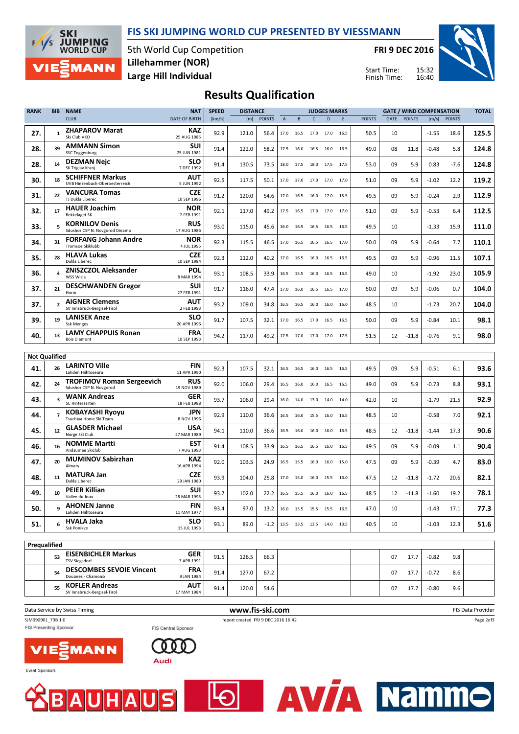



5th World Cup Competition Large Hill Individual Lillehammer (NOR)

FRI 9 DEC 2016

Start Time: Finish Time:

**AVTA Namme** 



## Results Qualification

| <b>RANK</b>          | <b>BIB</b>              | <b>NAME</b>                                                 | <b>NAT</b>                | <b>SPEED</b><br><b>DISTANCE</b><br><b>GATE / WIND COMPENSATION</b><br><b>JUDGES MARKS</b> |       |               |      |           | <b>TOTAL</b> |                          |        |               |             |               |         |               |       |
|----------------------|-------------------------|-------------------------------------------------------------|---------------------------|-------------------------------------------------------------------------------------------|-------|---------------|------|-----------|--------------|--------------------------|--------|---------------|-------------|---------------|---------|---------------|-------|
|                      |                         | <b>CLUB</b>                                                 | <b>DATE OF BIRTH</b>      | [km/h]                                                                                    | [m]   | <b>POINTS</b> | A    | B         | $\mathsf{C}$ | D                        | E      | <b>POINTS</b> | <b>GATE</b> | <b>POINTS</b> | [m/s]   | <b>POINTS</b> |       |
| 27.                  | $\mathbf{1}$            | <b>ZHAPAROV Marat</b><br>Ski Club VKO                       | KAZ<br>25 AUG 1985        | 92.9                                                                                      | 121.0 | 56.4          | 17.0 | 16.5      | 17.0         | 17.0                     | 16.5   | 50.5          | 10          |               | $-1.55$ | 18.6          | 125.5 |
| 28.                  | 39                      | <b>AMMANN Simon</b><br><b>SSC Toggenburg</b>                | SUI<br>25 JUN 1981        | 91.4                                                                                      | 122.0 | 58.2          | 17.5 | 16.0      | 16.5         | 16.0                     | 16.5   | 49.0          | 08          | 11.8          | -0.48   | 5.8           | 124.8 |
| 28.                  | 14                      | <b>DEZMAN Nejc</b><br>SK Triglav Kranj                      | SLO<br>7 DEC 1992         | 91.4                                                                                      | 130.5 | 73.5          | 18.0 | 17.5      | 18.0 17.5    |                          | 17.5   | 53.0          | 09          | 5.9           | 0.83    | $-7.6$        | 124.8 |
| 30.                  | 18                      | <b>SCHIFFNER Markus</b><br>UVB Hinzenbach-Oberoesterreich   | AUT<br>5 JUN 1992         | 92.5                                                                                      | 117.5 | 50.1          | 17.0 | 17.0      | 17.0         | 17.0                     | 17.0   | 51.0          | 09          | 5.9           | $-1.02$ | 12.2          | 119.2 |
| 31.                  | 22                      | <b>VANCURA Tomas</b><br>TJ Dukla Liberec                    | <b>CZE</b><br>10 SEP 1996 | 91.2                                                                                      | 120.0 | 54.6          | 17.0 | 16.5      | 16.0 17.0    |                          | 15.5   | 49.5          | 09          | 5.9           | $-0.24$ | 2.9           | 112.9 |
| 32.                  | 17                      | <b>HAUER Joachim</b><br><b>Bekkelaget SK</b>                | NOR<br>2 FEB 1991         | 92.1                                                                                      | 117.0 | 49.2          | 17.5 | 16.5      |              | 17.0 17.0                | 17.0   | 51.0          | 09          | 5.9           | $-0.53$ | 6.4           | 112.5 |
| 33.                  | 5                       | <b>KORNILOV Denis</b><br>Sdushor CSP N. Novgorod Dinamo     | <b>RUS</b><br>17 AUG 1986 | 93.0                                                                                      | 115.0 | 45.6          |      | 16.0 16.5 | 16.5 16.5    |                          | - 16.5 | 49.5          | 10          |               | $-1.33$ | 15.9          | 111.0 |
| 34.                  | 31                      | <b>FORFANG Johann Andre</b><br>Tromsoe Skiklubb             | NOR<br>4 JUL 1995         | 92.3                                                                                      | 115.5 | 46.5          | 17.0 | 16.5      | 16.5 16.5    |                          | 17.0   | 50.0          | 09          | 5.9           | $-0.64$ | 7.7           | 110.1 |
| 35.                  | 28                      | <b>HLAVA Lukas</b><br>Dukla Liberec                         | <b>CZE</b><br>10 SEP 1984 | 92.3                                                                                      | 112.0 | 40.2          |      | 17.0 16.5 |              | 16.0 16.5                | 16.5   | 49.5          | 09          | 5.9           | $-0.96$ | 11.5          | 107.1 |
| 36.                  | $\overline{\mathbf{4}}$ | <b>ZNISZCZOL Aleksander</b><br>WSS Wisla                    | POL<br>8 MAR 1994         | 93.1                                                                                      | 108.5 | 33.9          | 16.5 | 15.5      | 16.0 16.5    |                          | 16.5   | 49.0          | 10          |               | $-1.92$ | 23.0          | 105.9 |
| 37.                  | 21                      | <b>DESCHWANDEN Gregor</b><br>Horw                           | SUI<br>27 FEB 1991        | 91.7                                                                                      | 116.0 | 47.4          | 17.0 | 16.0      |              | 16.5 16.5 17.0           |        | 50.0          | 09          | 5.9           | $-0.06$ | 0.7           | 104.0 |
| 37.                  | $\overline{2}$          | <b>AIGNER Clemens</b><br>SV Innsbruck-Bergisel-Tirol        | AUT<br>2 FEB 1993         | 93.2                                                                                      | 109.0 | 34.8          | 16.5 | 16.5      | 16.0         | 16.0                     | 16.0   | 48.5          | 10          |               | $-1.73$ | 20.7          | 104.0 |
| 39.                  | 19                      | <b>LANISEK Anze</b><br><b>Ssk Menges</b>                    | SLO<br>20 APR 1996        | 91.7                                                                                      | 107.5 | 32.1          | 17.0 | 16.5      | 17.0 16.5    |                          | 16.5   | 50.0          | 09          | 5.9           | -0.84   | 10.1          | 98.1  |
| 40.                  | 13                      | <b>LAMY CHAPPUIS Ronan</b><br>Bois D'amont                  | <b>FRA</b><br>10 SEP 1993 | 94.2                                                                                      | 117.0 | 49.2          |      | 17.5 17.0 | 17.0 17.0    |                          | 17.5   | 51.5          | 12          | $-11.8$       | -0.76   | 9.1           | 98.0  |
|                      |                         |                                                             |                           |                                                                                           |       |               |      |           |              |                          |        |               |             |               |         |               |       |
| <b>Not Qualified</b> |                         |                                                             |                           |                                                                                           |       |               |      |           |              |                          |        |               |             |               |         |               |       |
| 41.                  | 26                      | <b>LARINTO Ville</b><br>Lahden Hiihtoseura                  | <b>FIN</b><br>11 APR 1990 | 92.3                                                                                      | 107.5 | 32.1          | 16.5 | 16.5      | 16.0         | 16.5                     | 16.5   | 49.5          | 09          | 5.9           | $-0.51$ | 6.1           | 93.6  |
| 42.                  | 24                      | <b>TROFIMOV Roman Sergeevich</b><br>Sdushor CSP N. Novgorod | <b>RUS</b><br>19 NOV 1989 | 92.0                                                                                      | 106.0 | 29.4          | 16.5 | 16.0      | 16.0         | 16.5                     | 16.5   | 49.0          | 09          | 5.9           | $-0.73$ | 8.8           | 93.1  |
| 43.                  | 3                       | <b>WANK Andreas</b><br>SC Hinterzarten                      | GER<br>18 FEB 1988        | 93.7                                                                                      | 106.0 | 29.4          | 16.0 | 14.0      | 13.0         | 14.0                     | 14.0   | 42.0          | 10          |               | $-1.79$ | 21.5          | 92.9  |
| 44.                  | $\overline{7}$          | <b>KOBAYASHI Ryoyu</b><br>Tsuchiya Home Ski Team            | JPN<br>8 NOV 1996         | 92.9                                                                                      | 110.0 | 36.6          | 16.5 | 16.0      | 15.5 16.0    |                          | 16.5   | 48.5          | 10          |               | $-0.58$ | 7.0           | 92.1  |
| 45.                  | 12                      | <b>GLASDER Michael</b><br>Norge Ski Club                    | <b>USA</b><br>27 MAR 1989 | 94.1                                                                                      | 110.0 | 36.6          | 16.5 | 16.0      | 16.0         | 16.0                     | 16.5   | 48.5          | 12          | $-11.8$       | $-1.44$ | 17.3          | 90.6  |
| 46.                  | 16                      | <b>NOMME Martti</b><br>Andsumae Skiclub                     | EST<br>7 AUG 1993         | 91.4                                                                                      | 108.5 | 33.9          | 16.5 | 16.5      | 16.5 16.0    |                          | 16.5   | 49.5          | 09          | 5.9           | $-0.09$ | 1.1           | 90.4  |
| 47.                  | 20                      | <b>MUMINOV Sabirzhan</b><br>Almaty                          | KAZ<br>16 APR 1994        | 92.0                                                                                      | 103.5 | 24.9          | 16.5 | 15.5      | 16.0         | 16.0                     | 15.0   | 47.5          | 09          | 5.9           | $-0.39$ | 4.7           | 83.0  |
| 48.                  | 11                      | <b>MATURA Jan</b><br>Dukla Liberec                          | <b>CZE</b><br>29 JAN 1980 | 93.9                                                                                      | 104.0 | 25.8          |      | 17.0 15.0 | 16.0 15.5    |                          | 16.0   | 47.5          | 12          | $-11.8$       | $-1.72$ | 20.6          | 82.1  |
| 49.                  | 10                      | <b>PEIER Killian</b><br>Vallee du Joux                      | SUI<br>28 MAR 1995        | 93.7                                                                                      | 102.0 | 22.2          |      |           |              | 16.5 15.5 16.0 16.0      | 16.5   | 48.5          | 12          | $-11.8$       | $-1.60$ | 19.2          | 78.1  |
| 50.                  | 9                       | <b>AHONEN Janne</b><br>Lahden Hiihtoseura                   | FIN<br>11 MAY 1977        | 93.4                                                                                      | 97.0  | 13.2          |      |           |              | 16.0 15.5 15.5 15.5 16.5 |        | 47.0          | 10          |               | $-1.43$ | 17.1          | 77.3  |
| 51.                  | 6                       | <b>HVALA Jaka</b><br>Ssk Ponikve                            | <b>SLO</b><br>15 JUL 1993 | 93.1                                                                                      | 89.0  | -1.2          |      |           |              | 13.5 13.5 13.5 14.0 13.5 |        | 40.5          | 10          |               | $-1.03$ | 12.3          | 51.6  |
|                      |                         |                                                             |                           |                                                                                           |       |               |      |           |              |                          |        |               |             |               |         |               |       |
| Prequalified         |                         |                                                             |                           |                                                                                           |       |               |      |           |              |                          |        |               |             |               |         |               |       |
|                      | 53                      | <b>EISENBICHLER Markus</b><br><b>TSV Siegsdorf</b>          | <b>GER</b><br>3 APR 1991  | 91.5                                                                                      | 126.5 | 66.3          |      |           |              |                          |        |               | 07          | 17.7          | $-0.82$ | 9.8           |       |
|                      | 54                      | <b>DESCOMBES SEVOIE Vincent</b><br>Douanes - Chamonix       | <b>FRA</b><br>9 JAN 1984  | 91.4                                                                                      | 127.0 | 67.2          |      |           |              |                          |        |               | 07          | 17.7          | $-0.72$ | 8.6           |       |
|                      | 55                      | <b>KOFLER Andreas</b><br>SV Innsbruck-Bergisel-Tirol        | <b>AUT</b><br>17 MAY 1984 | 91.4                                                                                      | 120.0 | 54.6          |      |           |              |                          |        |               | 07          | 17.7          | $-0.80$ | 9.6           |       |

Data Service by Swiss Timing **EXECUTE:** The Service by Swiss Timing The Service of the Service of the Service of the Service of the Service of the Service of the Service of the Service of the Service of the Service of the SJM090901\_73B 1.0 report created FRI 9 DEC 2016 16:42 Page 2of3 FIS Presenting Sponsor FIS Central Sponsor

 $\Theta$ 





Event Sponsors